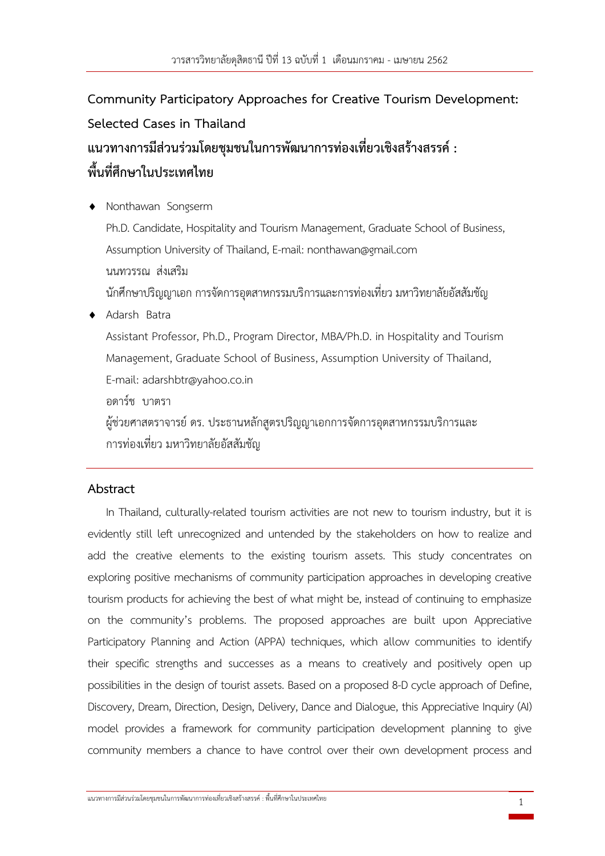# **Community Participatory Approaches for Creative Tourism Development: Selected Cases in Thailand แนวทางการมีส่วนร่วมโดยชุมชนในการพัฒนาการท่องเที่ยวเชิงสร้างสรรค์: พื้นที่ศึกษาในประเทศไทย**

 Nonthawan Songserm Ph.D. Candidate, Hospitality and Tourism Management, Graduate School of Business, Assumption University of Thailand, E-mail: nonthawan@gmail.com นนทวรรณ ส่งเสริม ้นักศึกษาปริญญาเอก การจัดการอตสาหกรรมบริการและการท่องเที่ยว มหาวิทยาลัยอัสสัมชัญ Adarsh Batra Assistant Professor, Ph.D., Program Director, MBA/Ph.D. in Hospitality and Tourism Management, Graduate School of Business, Assumption University of Thailand, E-mail: adarshbtr@yahoo.co.in อดาร์ช บาตรา ผู้ช่วยศาสตราจารย์ ดร. ประธานหลักสูตรปริญญาเอกการจัดการอุตสาหกรรมบริการและ การท่องเที่ยว มหาวิทยาลัยอัสสัมชัญ

# **Abstract**

In Thailand, culturally-related tourism activities are not new to tourism industry, but it is evidently still left unrecognized and untended by the stakeholders on how to realize and add the creative elements to the existing tourism assets. This study concentrates on exploring positive mechanisms of community participation approaches in developing creative tourism products for achieving the best of what might be, instead of continuing to emphasize on the community's problems. The proposed approaches are built upon Appreciative Participatory Planning and Action (APPA) techniques, which allow communities to identify their specific strengths and successes as a means to creatively and positively open up possibilities in the design of tourist assets. Based on a proposed 8-D cycle approach of Define, Discovery, Dream, Direction, Design, Delivery, Dance and Dialogue, this Appreciative Inquiry (AI) model provides a framework for community participation development planning to give community members a chance to have control over their own development process and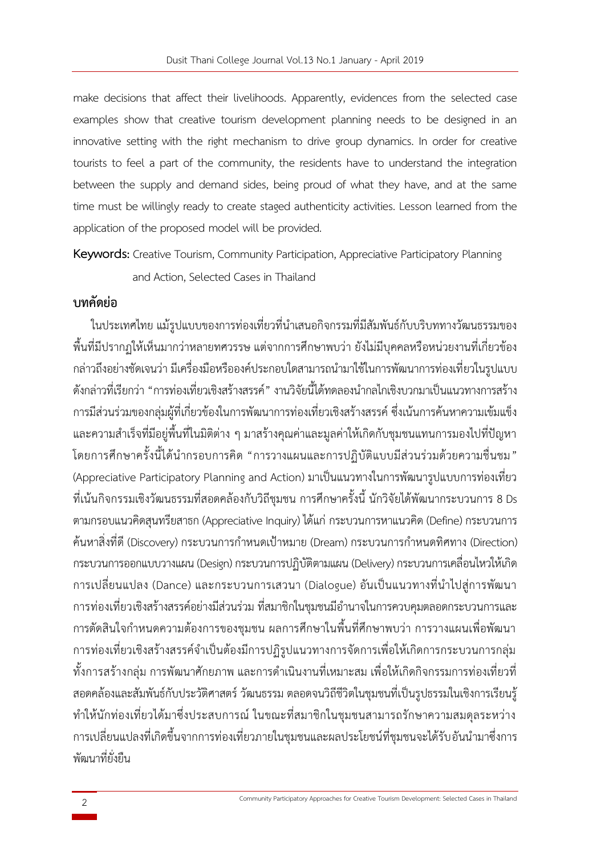make decisions that affect their livelihoods. Apparently, evidences from the selected case examples show that creative tourism development planning needs to be designed in an innovative setting with the right mechanism to drive group dynamics. In order for creative tourists to feel a part of the community, the residents have to understand the integration between the supply and demand sides, being proud of what they have, and at the same time must be willingly ready to create staged authenticity activities. Lesson learned from the application of the proposed model will be provided.

**Keywords:** Creative Tourism, Community Participation, Appreciative Participatory Planning and Action, Selected Cases in Thailand

# **บทคัดย่อ**

ในประเทศไทย แม้รูปแบบของการท่องเที่ยวที่นำเสนอกิจกรรมที่มีสัมพันธ์กับบริบททางวัฒนธรรมของ พื้นที่มีปรากฏให้เห็นมากว่าหลายทศวรรษ แต่จากการศึกษาพบว่า ยังไม่มีบุคคลหรือหน่วยงานที่เกี่ยวข้อง ึกล่าวถึงอย่างชัดเจนว่า มีเครื่องมือหรือองค์ประกอบใดสามารถนำมาใช้ในการพัฒนาการท่องเที่ยวในรูปแบบ ดังกล่าวที่เรียกว่า "การท่องเที่ยวเชิงสร้างสรรค์" งานวิจัยนี้ได้ทดลองน ากลไกเชิงบวกมาเป็นแนวทางการสร้าง การมีส่วนร่วมของกลุ่มผู้ที่เกี่ยวข้องในการพัฒนาการท่องเที่ยวเชิงสร้างสรรค์ ซึ่งเน้นการค้นหาความเข้มแข็ง และความส าเร็จที่มีอยู่พื้นที่ในมิติต่าง ๆ มาสร้างคุณค่าและมูลค่าให้เกิดกับชุมชนแทนการมองไปที่ปัญหา โดยการศึกษาครั้งนี้ได้นำกรอบการคิด "การวางแผนและการปฏิบัติแบบมีส่วนร่วมด้วยความชื่นชม" (Appreciative Participatory Planning and Action) มาเป็นแนวทางในการพัฒนารูปแบบการท่องเที่ยว ที่เน้นกิจกรรมเชิงวัฒนธรรมที่สอดคล้องกับวิถีชุมชน การศึกษาครั้งนี้นักวิจัยได้พัฒนากระบวนการ 8 Ds ตามกรอบแนวคิดสุนทรียสาธก (Appreciative Inquiry) ได้แก่ กระบวนการหาแนวคิด (Define) กระบวนการ ์ ค้นหาสิ่งที่ดี (Discovery) กระบวนการกำหนดเป้าหมาย (Dream) กระบวนการกำหนดทิศทาง (Direction) กระบวนการออกแบบวางแผน (Design) กระบวนการปฏิบัติตามแผน (Delivery) กระบวนการเคลื่อนไหวให้เกิด การเปลี่ยนแปลง (Dance) และกระบวนการเสวนา (Dialogue) อันเป็นแนวทางที ่น าไปสู่การพัฒนา ึการท่องเที่ยวเชิงสร้างสรรค์อย่างมีส่วนร่วม ที่สมาชิกในชุมชนมีอำนาจในการควบคุมตลอดกระบวนการและ ึการตัดสินใจกำหนดความต้องการของชุมชน ผลการศึกษาในพื้นที่ศึกษาพบว่า การวางแผนเพื่อพัฒนา การท่องเที่ยวเชิงสร้างสรรค์จ าเป็นต้องมีการปฏิรูปแนวทางการจัดการเพื่อให้เกิดการกระบวนการกลุ่ม ้ทั้งการสร้างกลุ่ม การพัฒนาศักยภาพ และการดำเนินงานที่เหมาะสม เพื่อให้เกิดกิจกรรมการท่องเที่ยวที่ สอดคล้องและสัมพันธ์กับประวัติศาสตร์ วัฒนธรรม ตลอดจนวิถีชีวิตในชุมชนที่เป็นรูปธรรมในเชิงการเรียนรู้ ท าให้นักท่องเที่ยวได้มาซึ่งประสบการณ์ ในขณะที่สมาชิกในชุมชนสามารถรักษาความสมดุลระหว่าง การเปลี่ยนแปลงที่เกิดขึ้นจากการท่องเที่ยวภายในชุมชนและผลประโยชน์ที่ชุมชนจะได้รับอันนำมาซึ่งการ พัฒนาที่ยั่งยืน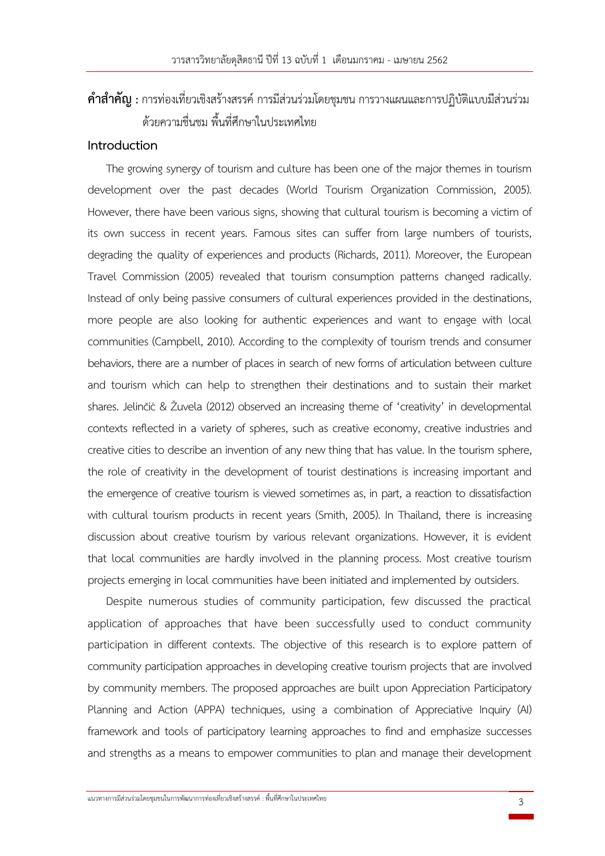# **ค าส าคัญ :** การท่องเที่ยวเชิงสร้างสรรค์ การมีส่วนร่วมโดยชุมชน การวางแผนและการปฏิบัติแบบมีส่วนร่วม ด้วยความชื่นชม พื้นที่ศึกษาในประเทศไทย

# **Introduction**

The growing synergy of tourism and culture has been one of the major themes in tourism development over the past decades (World Tourism Organization Commission, 2005). However, there have been various signs, showing that cultural tourism is becoming a victim of its own success in recent years. Famous sites can suffer from large numbers of tourists, degrading the quality of experiences and products (Richards, 2011). Moreover, the European Travel Commission (2005) revealed that tourism consumption patterns changed radically. Instead of only being passive consumers of cultural experiences provided in the destinations, more people are also looking for authentic experiences and want to engage with local communities (Campbell, 2010). According to the complexity of tourism trends and consumer behaviors, there are a number of places in search of new forms of articulation between culture and tourism which can help to strengthen their destinations and to sustain their market shares. Jelinčić & Žuvela (2012) observed an increasing theme of 'creativity' in developmental contexts reflected in a variety of spheres, such as creative economy, creative industries and creative cities to describe an invention of any new thing that has value. In the tourism sphere, the role of creativity in the development of tourist destinations is increasing important and the emergence of creative tourism is viewed sometimes as, in part, a reaction to dissatisfaction with cultural tourism products in recent years (Smith, 2005). In Thailand, there is increasing discussion about creative tourism by various relevant organizations. However, it is evident that local communities are hardly involved in the planning process. Most creative tourism projects emerging in local communities have been initiated and implemented by outsiders.

Despite numerous studies of community participation, few discussed the practical application of approaches that have been successfully used to conduct community participation in different contexts. The objective of this research is to explore pattern of community participation approaches in developing creative tourism projects that are involved by community members. The proposed approaches are built upon Appreciation Participatory Planning and Action (APPA) techniques, using a combination of Appreciative Inquiry (AI) framework and tools of participatory learning approaches to find and emphasize successes and strengths as a means to empower communities to plan and manage their development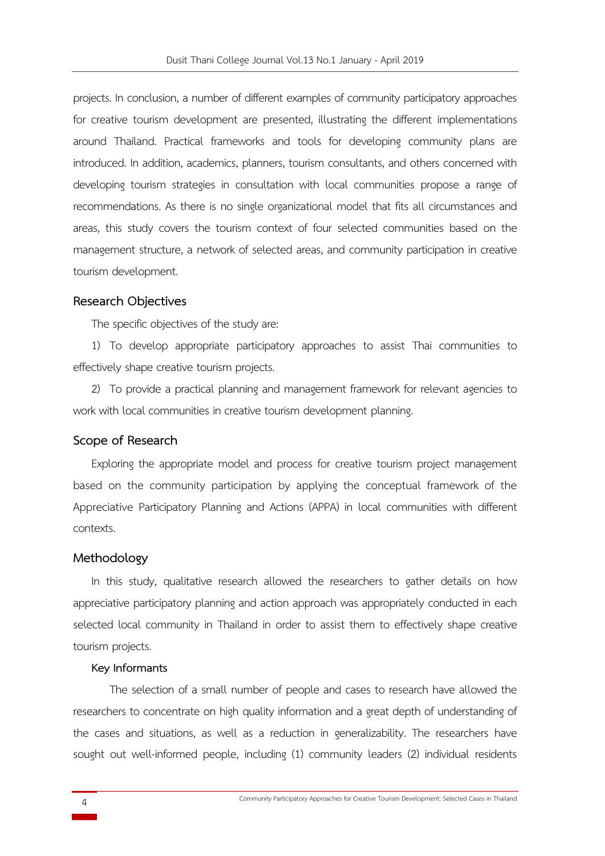projects. In conclusion, a number of different examples of community participatory approaches for creative tourism development are presented, illustrating the different implementations around Thailand. Practical frameworks and tools for developing community plans are introduced. In addition, academics, planners, tourism consultants, and others concerned with developing tourism strategies in consultation with local communities propose a range of recommendations. As there is no single organizational model that fits all circumstances and areas, this study covers the tourism context of four selected communities based on the management structure, a network of selected areas, and community participation in creative tourism development.

#### **Research Objectives**

The specific objectives of the study are:

1) To develop appropriate participatory approaches to assist Thai communities to effectively shape creative tourism projects.

2) To provide a practical planning and management framework for relevant agencies to work with local communities in creative tourism development planning.

## **Scope of Research**

Exploring the appropriate model and process for creative tourism project management based on the community participation by applying the conceptual framework of the Appreciative Participatory Planning and Actions (APPA) in local communities with different contexts.

#### **Methodology**

In this study, qualitative research allowed the researchers to gather details on how appreciative participatory planning and action approach was appropriately conducted in each selected local community in Thailand in order to assist them to effectively shape creative tourism projects.

#### **Key Informants**

The selection of a small number of people and cases to research have allowed the researchers to concentrate on high quality information and a great depth of understanding of the cases and situations, as well as a reduction in generalizability. The researchers have sought out well-informed people, including (1) community leaders (2) individual residents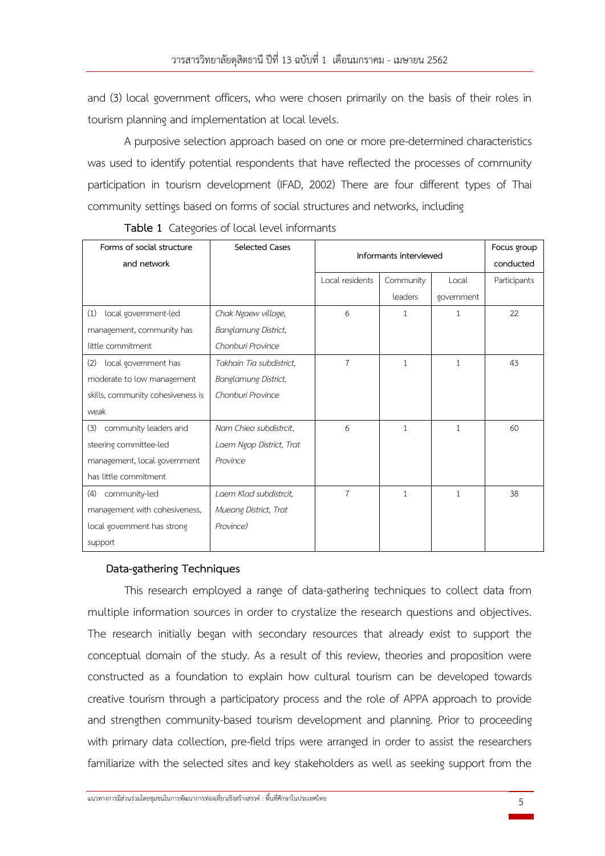and (3) local government officers, who were chosen primarily on the basis of their roles in tourism planning and implementation at local levels.

A purposive selection approach based on one or more pre-determined characteristics was used to identify potential respondents that have reflected the processes of community participation in tourism development (IFAD, 2002) There are four different types of Thai community settings based on forms of social structures and networks, including

| Forms of social structure         | <b>Selected Cases</b>    | Informants interviewed |           | Focus group  |              |
|-----------------------------------|--------------------------|------------------------|-----------|--------------|--------------|
| and network                       |                          |                        |           |              | conducted    |
|                                   |                          | Local residents        | Community | Local        | Participants |
|                                   |                          |                        | leaders   | government   |              |
| local government-led<br>(1)       | Chak Ngaew village,      | 6                      | 1         | 1            | 22           |
| management, community has         | Banglamung District,     |                        |           |              |              |
| little commitment                 | Chonburi Province        |                        |           |              |              |
| (2)<br>local government has       | Takhain Tia subdistrict, | 7                      | 1         | $\mathbf{1}$ | 43           |
| moderate to low management        | Banglamung District,     |                        |           |              |              |
| skills, community cohesiveness is | Chonburi Province        |                        |           |              |              |
| weak                              |                          |                        |           |              |              |
| (3)<br>community leaders and      | Nam Chieo subdistrcit,   | 6                      | 1         | $\mathbf{1}$ | 60           |
| steering committee-led            | Laem Ngop District, Trat |                        |           |              |              |
| management, local government      | Province                 |                        |           |              |              |
| has little commitment             |                          |                        |           |              |              |
| (4)<br>community-led              | Laem Klad subdistrcit,   | $\overline{7}$         | 1         | $\mathbf{1}$ | 38           |
| management with cohesiveness,     | Mueang District, Trat    |                        |           |              |              |
| local government has strong       | Province)                |                        |           |              |              |
| support                           |                          |                        |           |              |              |

**Table 1** Categories of local level informants

# **Data-gathering Techniques**

This research employed a range of data-gathering techniques to collect data from multiple information sources in order to crystalize the research questions and objectives. The research initially began with secondary resources that already exist to support the conceptual domain of the study. As a result of this review, theories and proposition were constructed as a foundation to explain how cultural tourism can be developed towards creative tourism through a participatory process and the role of APPA approach to provide and strengthen community-based tourism development and planning. Prior to proceeding with primary data collection, pre-field trips were arranged in order to assist the researchers familiarize with the selected sites and key stakeholders as well as seeking support from the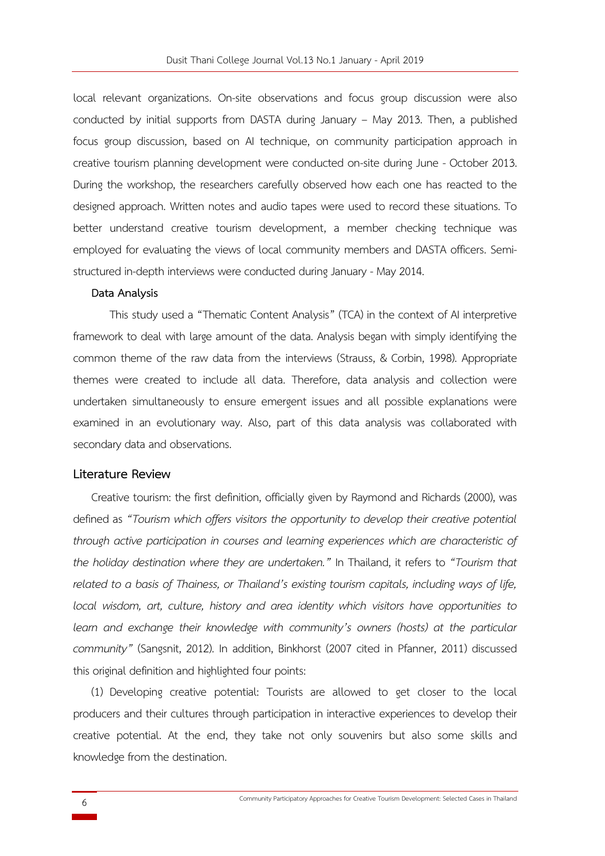local relevant organizations. On-site observations and focus group discussion were also conducted by initial supports from DASTA during January – May 2013. Then, a published focus group discussion, based on AI technique, on community participation approach in creative tourism planning development were conducted on-site during June - October 2013. During the workshop, the researchers carefully observed how each one has reacted to the designed approach. Written notes and audio tapes were used to record these situations. To better understand creative tourism development, a member checking technique was employed for evaluating the views of local community members and DASTA officers. Semistructured in-depth interviews were conducted during January - May 2014.

#### **Data Analysis**

This study used a "Thematic Content Analysis" (TCA) in the context of AI interpretive framework to deal with large amount of the data. Analysis began with simply identifying the common theme of the raw data from the interviews (Strauss, & Corbin, 1998). Appropriate themes were created to include all data. Therefore, data analysis and collection were undertaken simultaneously to ensure emergent issues and all possible explanations were examined in an evolutionary way. Also, part of this data analysis was collaborated with secondary data and observations.

## **Literature Review**

Creative tourism: the first definition, officially given by Raymond and Richards (2000), was defined as *"Tourism which offers visitors the opportunity to develop their creative potential through active participation in courses and learning experiences which are characteristic of the holiday destination where they are undertaken."* In Thailand, it refers to *"Tourism that related to a basis of Thainess, or Thailand's existing tourism capitals, including ways of life, local wisdom, art, culture, history and area identity which visitors have opportunities to*  learn and exchange their knowledge with community's owners (hosts) at the particular *community"* (Sangsnit, 2012). In addition, Binkhorst (2007 cited in Pfanner, 2011) discussed this original definition and highlighted four points:

(1) Developing creative potential: Tourists are allowed to get closer to the local producers and their cultures through participation in interactive experiences to develop their creative potential. At the end, they take not only souvenirs but also some skills and knowledge from the destination.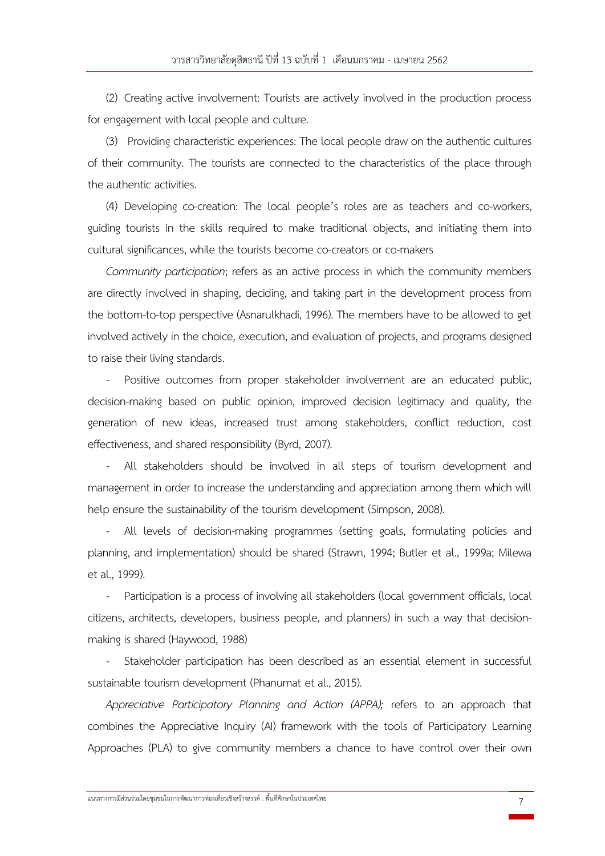(2) Creating active involvement: Tourists are actively involved in the production process for engagement with local people and culture.

(3) Providing characteristic experiences: The local people draw on the authentic cultures of their community. The tourists are connected to the characteristics of the place through the authentic activities.

(4) Developing co-creation: The local people's roles are as teachers and co-workers, guiding tourists in the skills required to make traditional objects, and initiating them into cultural significances, while the tourists become co-creators or co-makers

*Community participation*; refers as an active process in which the community members are directly involved in shaping, deciding, and taking part in the development process from the bottom-to-top perspective (Asnarulkhadi, 1996). The members have to be allowed to get involved actively in the choice, execution, and evaluation of projects, and programs designed to raise their living standards.

Positive outcomes from proper stakeholder involvement are an educated public, decision-making based on public opinion, improved decision legitimacy and quality, the generation of new ideas, increased trust among stakeholders, conflict reduction, cost effectiveness, and shared responsibility (Byrd, 2007).

All stakeholders should be involved in all steps of tourism development and management in order to increase the understanding and appreciation among them which will help ensure the sustainability of the tourism development (Simpson, 2008).

All levels of decision-making programmes (setting goals, formulating policies and planning, and implementation) should be shared (Strawn, 1994; Butler et al., 1999a; Milewa et al., 1999).

Participation is a process of involving all stakeholders (local government officials, local citizens, architects, developers, business people, and planners) in such a way that decisionmaking is shared (Haywood, 1988)

Stakeholder participation has been described as an essential element in successful sustainable tourism development (Phanumat et al., 2015).

*Appreciative Participatory Planning and Action (APPA);* refers to an approach that combines the Appreciative Inquiry (AI) framework with the tools of Participatory Learning Approaches (PLA) to give community members a chance to have control over their own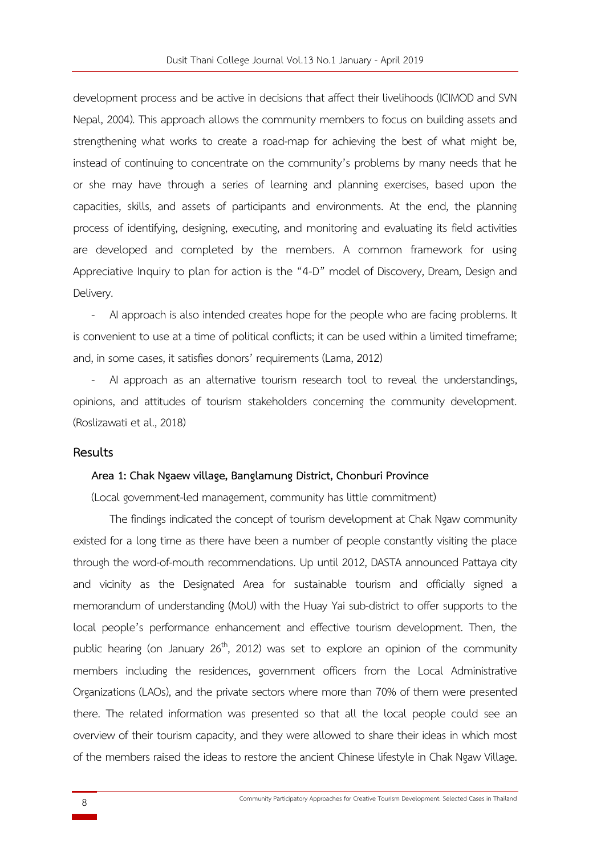development process and be active in decisions that affect their livelihoods (ICIMOD and SVN Nepal, 2004). This approach allows the community members to focus on building assets and strengthening what works to create a road-map for achieving the best of what might be, instead of continuing to concentrate on the community's problems by many needs that he or she may have through a series of learning and planning exercises, based upon the capacities, skills, and assets of participants and environments. At the end, the planning process of identifying, designing, executing, and monitoring and evaluating its field activities are developed and completed by the members. A common framework for using Appreciative Inquiry to plan for action is the "4-D" model of Discovery, Dream, Design and Delivery.

- AI approach is also intended creates hope for the people who are facing problems. It is convenient to use at a time of political conflicts; it can be used within a limited timeframe; and, in some cases, it satisfies donors' requirements (Lama, 2012)

AI approach as an alternative tourism research tool to reveal the understandings, opinions, and attitudes of tourism stakeholders concerning the community development. (Roslizawati et al., 2018)

#### **Results**

#### **Area 1: Chak Ngaew village, Banglamung District, Chonburi Province**

(Local government-led management, community has little commitment)

The findings indicated the concept of tourism development at Chak Ngaw community existed for a long time as there have been a number of people constantly visiting the place through the word-of-mouth recommendations. Up until 2012, DASTA announced Pattaya city and vicinity as the Designated Area for sustainable tourism and officially signed a memorandum of understanding (MoU) with the Huay Yai sub-district to offer supports to the local people's performance enhancement and effective tourism development. Then, the public hearing (on January  $26<sup>th</sup>$ , 2012) was set to explore an opinion of the community members including the residences, government officers from the Local Administrative Organizations (LAOs), and the private sectors where more than 70% of them were presented there. The related information was presented so that all the local people could see an overview of their tourism capacity, and they were allowed to share their ideas in which most of the members raised the ideas to restore the ancient Chinese lifestyle in Chak Ngaw Village.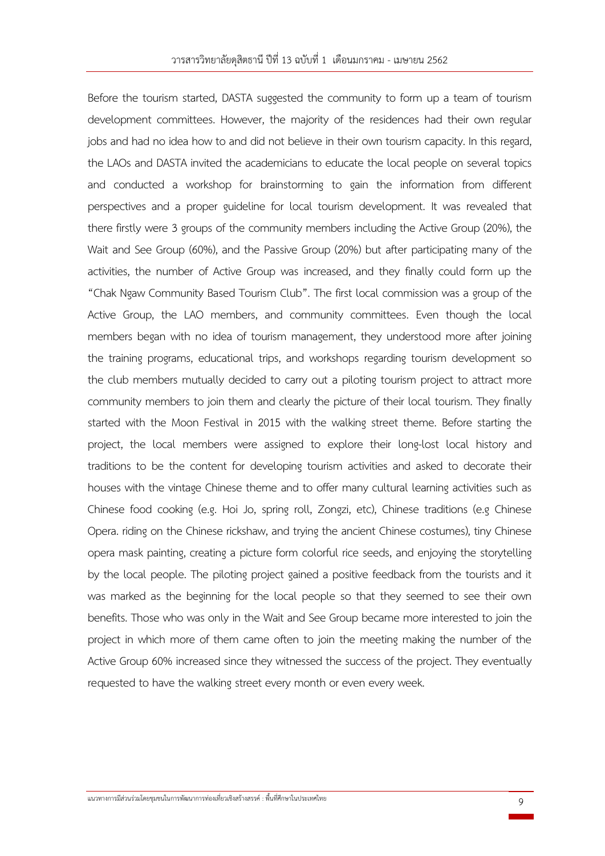Before the tourism started, DASTA suggested the community to form up a team of tourism development committees. However, the majority of the residences had their own regular jobs and had no idea how to and did not believe in their own tourism capacity. In this regard, the LAOs and DASTA invited the academicians to educate the local people on several topics and conducted a workshop for brainstorming to gain the information from different perspectives and a proper guideline for local tourism development. It was revealed that there firstly were 3 groups of the community members including the Active Group (20%), the Wait and See Group (60%), and the Passive Group (20%) but after participating many of the activities, the number of Active Group was increased, and they finally could form up the "Chak Ngaw Community Based Tourism Club". The first local commission was a group of the Active Group, the LAO members, and community committees. Even though the local members began with no idea of tourism management, they understood more after joining the training programs, educational trips, and workshops regarding tourism development so the club members mutually decided to carry out a piloting tourism project to attract more community members to join them and clearly the picture of their local tourism. They finally started with the Moon Festival in 2015 with the walking street theme. Before starting the project, the local members were assigned to explore their long-lost local history and traditions to be the content for developing tourism activities and asked to decorate their houses with the vintage Chinese theme and to offer many cultural learning activities such as Chinese food cooking (e.g. Hoi Jo, spring roll, Zongzi, etc), Chinese traditions (e.g Chinese Opera. riding on the Chinese rickshaw, and trying the ancient Chinese costumes), tiny Chinese opera mask painting, creating a picture form colorful rice seeds, and enjoying the storytelling by the local people. The piloting project gained a positive feedback from the tourists and it was marked as the beginning for the local people so that they seemed to see their own benefits. Those who was only in the Wait and See Group became more interested to join the project in which more of them came often to join the meeting making the number of the Active Group 60% increased since they witnessed the success of the project. They eventually requested to have the walking street every month or even every week.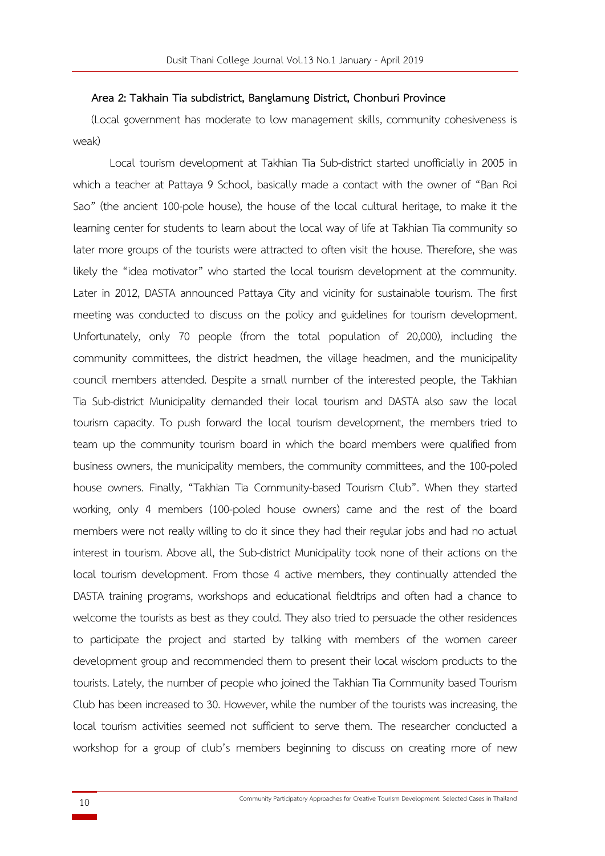#### **Area 2: Takhain Tia subdistrict, Banglamung District, Chonburi Province**

(Local government has moderate to low management skills, community cohesiveness is weak)

Local tourism development at Takhian Tia Sub-district started unofficially in 2005 in which a teacher at Pattaya 9 School, basically made a contact with the owner of "Ban Roi Sao" (the ancient 100-pole house), the house of the local cultural heritage, to make it the learning center for students to learn about the local way of life at Takhian Tia community so later more groups of the tourists were attracted to often visit the house. Therefore, she was likely the "idea motivator" who started the local tourism development at the community. Later in 2012, DASTA announced Pattaya City and vicinity for sustainable tourism. The first meeting was conducted to discuss on the policy and guidelines for tourism development. Unfortunately, only 70 people (from the total population of 20,000), including the community committees, the district headmen, the village headmen, and the municipality council members attended. Despite a small number of the interested people, the Takhian Tia Sub-district Municipality demanded their local tourism and DASTA also saw the local tourism capacity. To push forward the local tourism development, the members tried to team up the community tourism board in which the board members were qualified from business owners, the municipality members, the community committees, and the 100-poled house owners. Finally, "Takhian Tia Community-based Tourism Club". When they started working, only 4 members (100-poled house owners) came and the rest of the board members were not really willing to do it since they had their regular jobs and had no actual interest in tourism. Above all, the Sub-district Municipality took none of their actions on the local tourism development. From those 4 active members, they continually attended the DASTA training programs, workshops and educational fieldtrips and often had a chance to welcome the tourists as best as they could. They also tried to persuade the other residences to participate the project and started by talking with members of the women career development group and recommended them to present their local wisdom products to the tourists. Lately, the number of people who joined the Takhian Tia Community based Tourism Club has been increased to 30. However, while the number of the tourists was increasing, the local tourism activities seemed not sufficient to serve them. The researcher conducted a workshop for a group of club's members beginning to discuss on creating more of new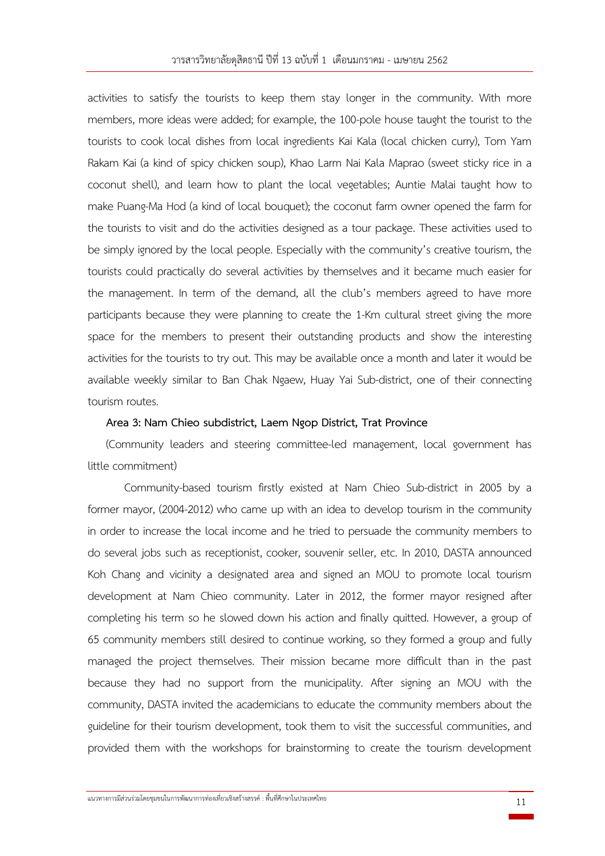activities to satisfy the tourists to keep them stay longer in the community. With more members, more ideas were added; for example, the 100-pole house taught the tourist to the tourists to cook local dishes from local ingredients Kai Kala (local chicken curry), Tom Yam Rakam Kai (a kind of spicy chicken soup), Khao Larm Nai Kala Maprao (sweet sticky rice in a coconut shell), and learn how to plant the local vegetables; Auntie Malai taught how to make Puang-Ma Hod (a kind of local bouquet); the coconut farm owner opened the farm for the tourists to visit and do the activities designed as a tour package. These activities used to be simply ignored by the local people. Especially with the community's creative tourism, the tourists could practically do several activities by themselves and it became much easier for the management. In term of the demand, all the club's members agreed to have more participants because they were planning to create the 1-Km cultural street giving the more space for the members to present their outstanding products and show the interesting activities for the tourists to try out. This may be available once a month and later it would be available weekly similar to Ban Chak Ngaew, Huay Yai Sub-district, one of their connecting tourism routes.

## **Area 3: Nam Chieo subdistrict, Laem Ngop District, Trat Province**

(Community leaders and steering committee-led management, local government has little commitment)

Community-based tourism firstly existed at Nam Chieo Sub-district in 2005 by a former mayor, (2004-2012) who came up with an idea to develop tourism in the community in order to increase the local income and he tried to persuade the community members to do several jobs such as receptionist, cooker, souvenir seller, etc. In 2010, DASTA announced Koh Chang and vicinity a designated area and signed an MOU to promote local tourism development at Nam Chieo community. Later in 2012, the former mayor resigned after completing his term so he slowed down his action and finally quitted. However, a group of 65 community members still desired to continue working, so they formed a group and fully managed the project themselves. Their mission became more difficult than in the past because they had no support from the municipality. After signing an MOU with the community, DASTA invited the academicians to educate the community members about the guideline for their tourism development, took them to visit the successful communities, and provided them with the workshops for brainstorming to create the tourism development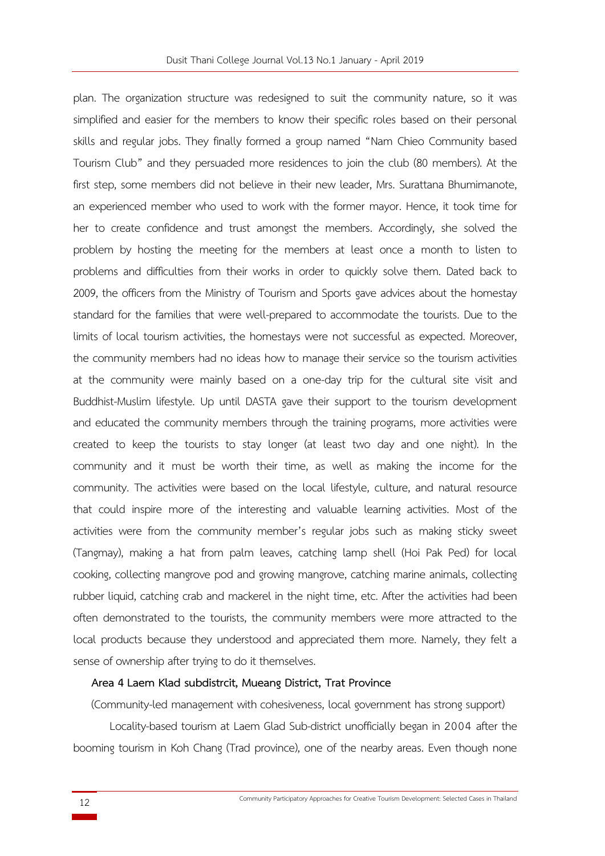plan. The organization structure was redesigned to suit the community nature, so it was simplified and easier for the members to know their specific roles based on their personal skills and regular jobs. They finally formed a group named "Nam Chieo Community based Tourism Club" and they persuaded more residences to join the club (80 members). At the first step, some members did not believe in their new leader, Mrs. Surattana Bhumimanote, an experienced member who used to work with the former mayor. Hence, it took time for her to create confidence and trust amongst the members. Accordingly, she solved the problem by hosting the meeting for the members at least once a month to listen to problems and difficulties from their works in order to quickly solve them. Dated back to 2009, the officers from the Ministry of Tourism and Sports gave advices about the homestay standard for the families that were well-prepared to accommodate the tourists. Due to the limits of local tourism activities, the homestays were not successful as expected. Moreover, the community members had no ideas how to manage their service so the tourism activities at the community were mainly based on a one-day trip for the cultural site visit and Buddhist-Muslim lifestyle. Up until DASTA gave their support to the tourism development and educated the community members through the training programs, more activities were created to keep the tourists to stay longer (at least two day and one night). In the community and it must be worth their time, as well as making the income for the community. The activities were based on the local lifestyle, culture, and natural resource that could inspire more of the interesting and valuable learning activities. Most of the activities were from the community member's regular jobs such as making sticky sweet (Tangmay), making a hat from palm leaves, catching lamp shell (Hoi Pak Ped) for local cooking, collecting mangrove pod and growing mangrove, catching marine animals, collecting rubber liquid, catching crab and mackerel in the night time, etc. After the activities had been often demonstrated to the tourists, the community members were more attracted to the local products because they understood and appreciated them more. Namely, they felt a sense of ownership after trying to do it themselves.

## **Area 4 Laem Klad subdistrcit, Mueang District, Trat Province**

(Community-led management with cohesiveness, local government has strong support)

Locality-based tourism at Laem Glad Sub-district unofficially began in 2004 after the booming tourism in Koh Chang (Trad province), one of the nearby areas. Even though none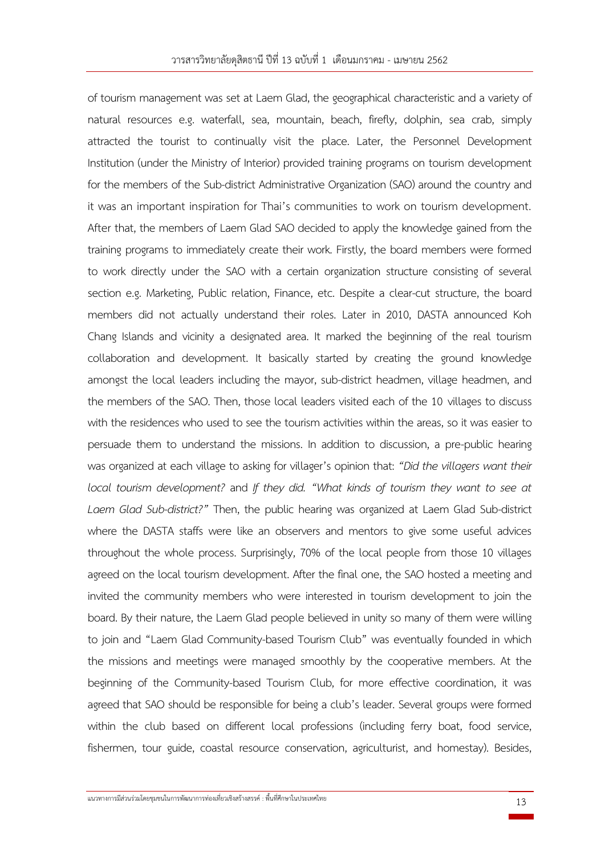of tourism management was set at Laem Glad, the geographical characteristic and a variety of natural resources e.g. waterfall, sea, mountain, beach, firefly, dolphin, sea crab, simply attracted the tourist to continually visit the place. Later, the Personnel Development Institution (under the Ministry of Interior) provided training programs on tourism development for the members of the Sub-district Administrative Organization (SAO) around the country and it was an important inspiration for Thai's communities to work on tourism development. After that, the members of Laem Glad SAO decided to apply the knowledge gained from the training programs to immediately create their work. Firstly, the board members were formed to work directly under the SAO with a certain organization structure consisting of several section e.g. Marketing, Public relation, Finance, etc. Despite a clear-cut structure, the board members did not actually understand their roles. Later in 2010, DASTA announced Koh Chang Islands and vicinity a designated area. It marked the beginning of the real tourism collaboration and development. It basically started by creating the ground knowledge amongst the local leaders including the mayor, sub-district headmen, village headmen, and the members of the SAO. Then, those local leaders visited each of the 10 villages to discuss with the residences who used to see the tourism activities within the areas, so it was easier to persuade them to understand the missions. In addition to discussion, a pre-public hearing was organized at each village to asking for villager's opinion that: *"Did the villagers want their local tourism development?* and *If they did. "What kinds of tourism they want to see at Laem Glad Sub-district?"* Then, the public hearing was organized at Laem Glad Sub-district where the DASTA staffs were like an observers and mentors to give some useful advices throughout the whole process. Surprisingly, 70% of the local people from those 10 villages agreed on the local tourism development. After the final one, the SAO hosted a meeting and invited the community members who were interested in tourism development to join the board. By their nature, the Laem Glad people believed in unity so many of them were willing to join and "Laem Glad Community-based Tourism Club" was eventually founded in which the missions and meetings were managed smoothly by the cooperative members. At the beginning of the Community-based Tourism Club, for more effective coordination, it was agreed that SAO should be responsible for being a club's leader. Several groups were formed within the club based on different local professions (including ferry boat, food service, fishermen, tour guide, coastal resource conservation, agriculturist, and homestay). Besides,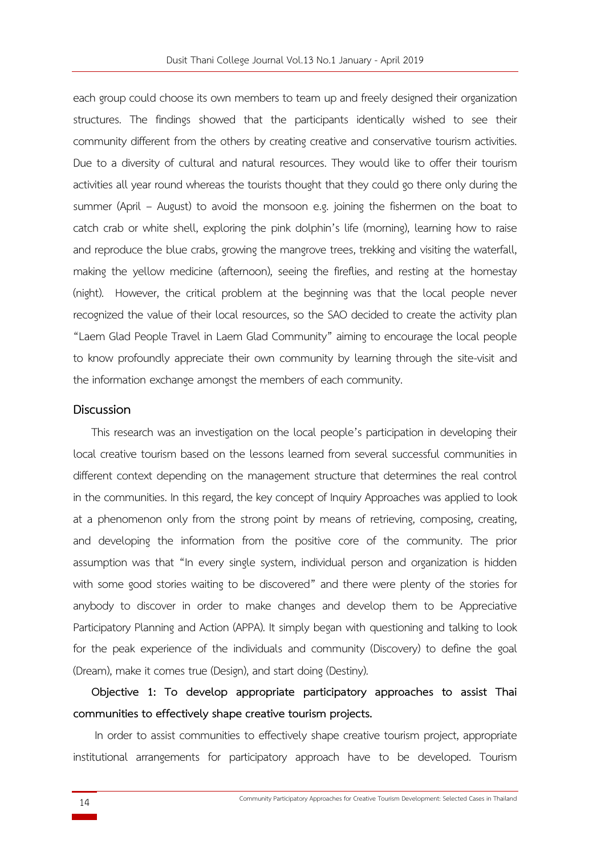each group could choose its own members to team up and freely designed their organization structures. The findings showed that the participants identically wished to see their community different from the others by creating creative and conservative tourism activities. Due to a diversity of cultural and natural resources. They would like to offer their tourism activities all year round whereas the tourists thought that they could go there only during the summer (April – August) to avoid the monsoon e.g. joining the fishermen on the boat to catch crab or white shell, exploring the pink dolphin's life (morning), learning how to raise and reproduce the blue crabs, growing the mangrove trees, trekking and visiting the waterfall, making the yellow medicine (afternoon), seeing the fireflies, and resting at the homestay (night). However, the critical problem at the beginning was that the local people never recognized the value of their local resources, so the SAO decided to create the activity plan "Laem Glad People Travel in Laem Glad Community" aiming to encourage the local people to know profoundly appreciate their own community by learning through the site-visit and the information exchange amongst the members of each community.

#### **Discussion**

This research was an investigation on the local people's participation in developing their local creative tourism based on the lessons learned from several successful communities in different context depending on the management structure that determines the real control in the communities. In this regard, the key concept of Inquiry Approaches was applied to look at a phenomenon only from the strong point by means of retrieving, composing, creating, and developing the information from the positive core of the community. The prior assumption was that "In every single system, individual person and organization is hidden with some good stories waiting to be discovered" and there were plenty of the stories for anybody to discover in order to make changes and develop them to be Appreciative Participatory Planning and Action (APPA). It simply began with questioning and talking to look for the peak experience of the individuals and community (Discovery) to define the goal (Dream), make it comes true (Design), and start doing (Destiny).

**Objective 1: To develop appropriate participatory approaches to assist Thai communities to effectively shape creative tourism projects.**

In order to assist communities to effectively shape creative tourism project, appropriate institutional arrangements for participatory approach have to be developed. Tourism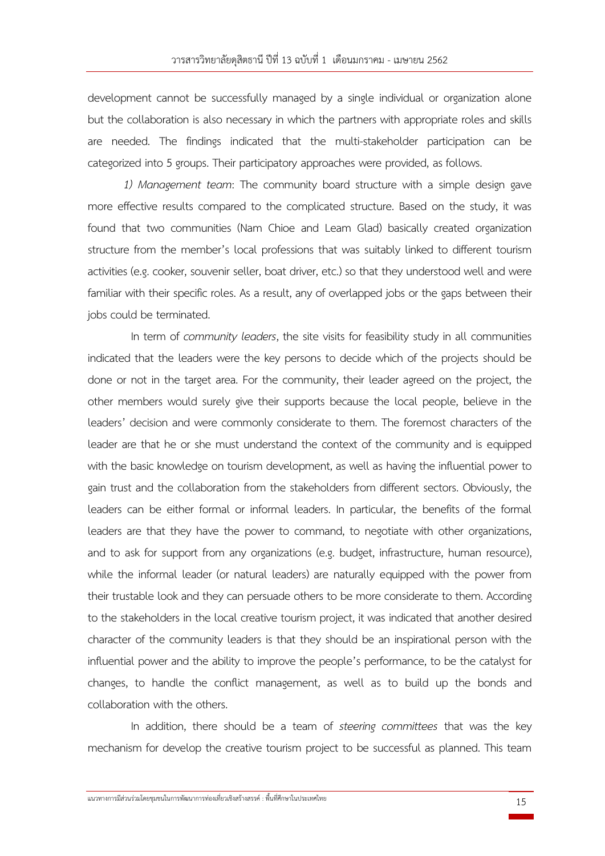development cannot be successfully managed by a single individual or organization alone but the collaboration is also necessary in which the partners with appropriate roles and skills are needed. The findings indicated that the multi-stakeholder participation can be categorized into 5 groups. Their participatory approaches were provided, as follows.

*1) Management team*: The community board structure with a simple design gave more effective results compared to the complicated structure. Based on the study, it was found that two communities (Nam Chioe and Leam Glad) basically created organization structure from the member's local professions that was suitably linked to different tourism activities (e.g. cooker, souvenir seller, boat driver, etc.) so that they understood well and were familiar with their specific roles. As a result, any of overlapped jobs or the gaps between their jobs could be terminated.

In term of *community leaders*, the site visits for feasibility study in all communities indicated that the leaders were the key persons to decide which of the projects should be done or not in the target area. For the community, their leader agreed on the project, the other members would surely give their supports because the local people, believe in the leaders' decision and were commonly considerate to them. The foremost characters of the leader are that he or she must understand the context of the community and is equipped with the basic knowledge on tourism development, as well as having the influential power to gain trust and the collaboration from the stakeholders from different sectors. Obviously, the leaders can be either formal or informal leaders. In particular, the benefits of the formal leaders are that they have the power to command, to negotiate with other organizations, and to ask for support from any organizations (e.g. budget, infrastructure, human resource), while the informal leader (or natural leaders) are naturally equipped with the power from their trustable look and they can persuade others to be more considerate to them. According to the stakeholders in the local creative tourism project, it was indicated that another desired character of the community leaders is that they should be an inspirational person with the influential power and the ability to improve the people's performance, to be the catalyst for changes, to handle the conflict management, as well as to build up the bonds and collaboration with the others.

In addition, there should be a team of *steering committees* that was the key mechanism for develop the creative tourism project to be successful as planned. This team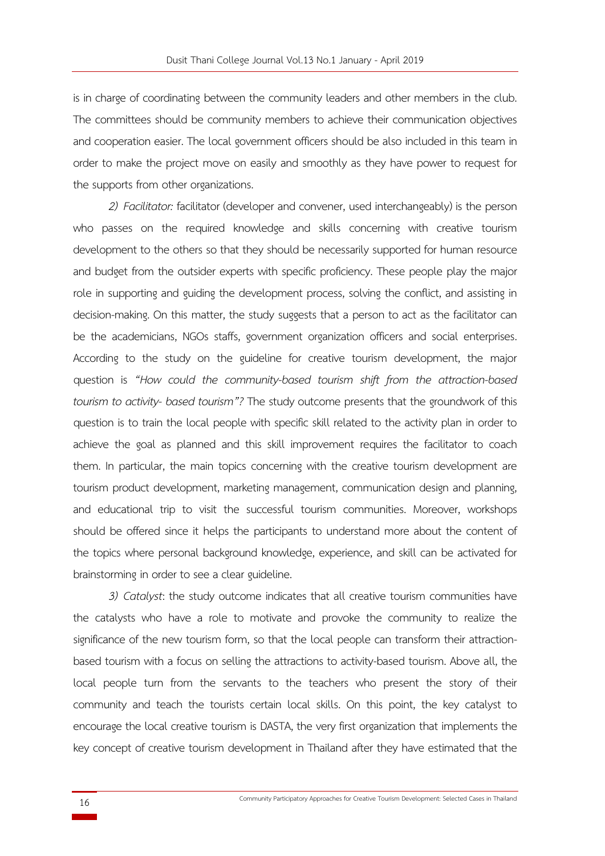is in charge of coordinating between the community leaders and other members in the club. The committees should be community members to achieve their communication objectives and cooperation easier. The local government officers should be also included in this team in order to make the project move on easily and smoothly as they have power to request for the supports from other organizations.

*2) Facilitator:* facilitator (developer and convener, used interchangeably) is the person who passes on the required knowledge and skills concerning with creative tourism development to the others so that they should be necessarily supported for human resource and budget from the outsider experts with specific proficiency. These people play the major role in supporting and guiding the development process, solving the conflict, and assisting in decision-making. On this matter, the study suggests that a person to act as the facilitator can be the academicians, NGOs staffs, government organization officers and social enterprises. According to the study on the guideline for creative tourism development, the major question is *"How could the community-based tourism shift from the attraction-based tourism to activity- based tourism"?* The study outcome presents that the groundwork of this question is to train the local people with specific skill related to the activity plan in order to achieve the goal as planned and this skill improvement requires the facilitator to coach them. In particular, the main topics concerning with the creative tourism development are tourism product development, marketing management, communication design and planning, and educational trip to visit the successful tourism communities. Moreover, workshops should be offered since it helps the participants to understand more about the content of the topics where personal background knowledge, experience, and skill can be activated for brainstorming in order to see a clear guideline.

*3) Catalyst*: the study outcome indicates that all creative tourism communities have the catalysts who have a role to motivate and provoke the community to realize the significance of the new tourism form, so that the local people can transform their attractionbased tourism with a focus on selling the attractions to activity-based tourism. Above all, the local people turn from the servants to the teachers who present the story of their community and teach the tourists certain local skills. On this point, the key catalyst to encourage the local creative tourism is DASTA, the very first organization that implements the key concept of creative tourism development in Thailand after they have estimated that the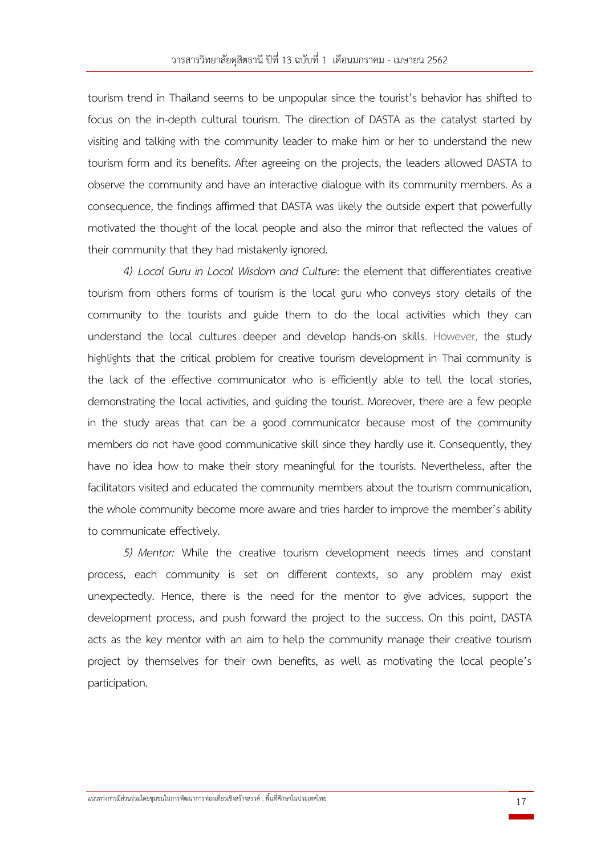tourism trend in Thailand seems to be unpopular since the tourist's behavior has shifted to focus on the in-depth cultural tourism. The direction of DASTA as the catalyst started by visiting and talking with the community leader to make him or her to understand the new tourism form and its benefits. After agreeing on the projects, the leaders allowed DASTA to observe the community and have an interactive dialogue with its community members. As a consequence, the findings affirmed that DASTA was likely the outside expert that powerfully motivated the thought of the local people and also the mirror that reflected the values of their community that they had mistakenly ignored.

*4) Local Guru in Local Wisdom and Culture*: the element that differentiates creative tourism from others forms of tourism is the local guru who conveys story details of the community to the tourists and guide them to do the local activities which they can understand the local cultures deeper and develop hands-on skills. However, the study highlights that the critical problem for creative tourism development in Thai community is the lack of the effective communicator who is efficiently able to tell the local stories, demonstrating the local activities, and guiding the tourist. Moreover, there are a few people in the study areas that can be a good communicator because most of the community members do not have good communicative skill since they hardly use it. Consequently, they have no idea how to make their story meaningful for the tourists. Nevertheless, after the facilitators visited and educated the community members about the tourism communication, the whole community become more aware and tries harder to improve the member's ability to communicate effectively.

*5) Mentor:* While the creative tourism development needs times and constant process, each community is set on different contexts, so any problem may exist unexpectedly. Hence, there is the need for the mentor to give advices, support the development process, and push forward the project to the success. On this point, DASTA acts as the key mentor with an aim to help the community manage their creative tourism project by themselves for their own benefits, as well as motivating the local people's participation.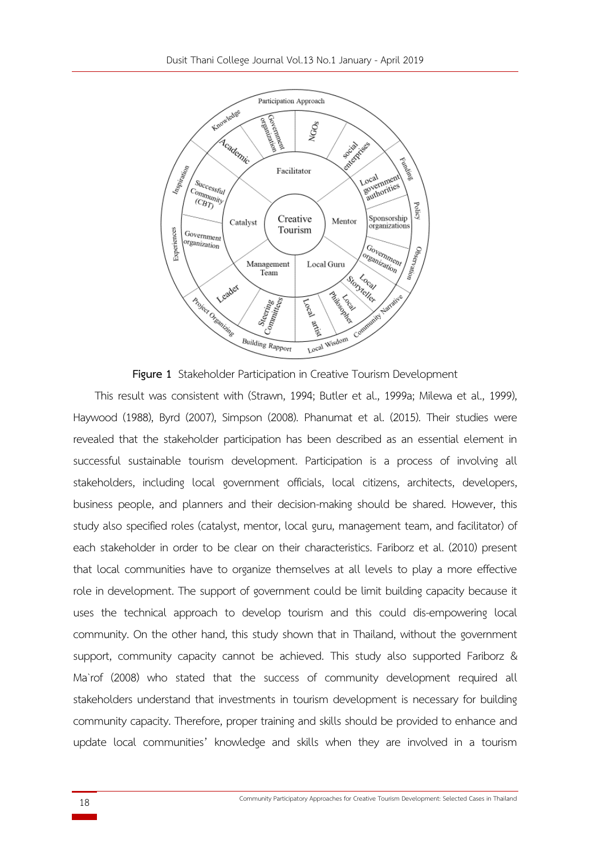

**Figure 1** Stakeholder Participation in Creative Tourism Development

This result was consistent with (Strawn, 1994; Butler et al., 1999a; Milewa et al., 1999), Haywood (1988), Byrd (2007), Simpson (2008). Phanumat et al. (2015). Their studies were revealed that the stakeholder participation has been described as an essential element in successful sustainable tourism development. Participation is a process of involving all stakeholders, including local government officials, local citizens, architects, developers, business people, and planners and their decision-making should be shared. However, this study also specified roles (catalyst, mentor, local guru, management team, and facilitator) of each stakeholder in order to be clear on their characteristics. Fariborz et al. (2010) present that local communities have to organize themselves at all levels to play a more effective role in development. The support of government could be limit building capacity because it uses the technical approach to develop tourism and this could dis-empowering local community. On the other hand, this study shown that in Thailand, without the government support, community capacity cannot be achieved. This study also supported Fariborz & Ma`rof (2008) who stated that the success of community development required all stakeholders understand that investments in tourism development is necessary for building community capacity. Therefore, proper training and skills should be provided to enhance and update local communities' knowledge and skills when they are involved in a tourism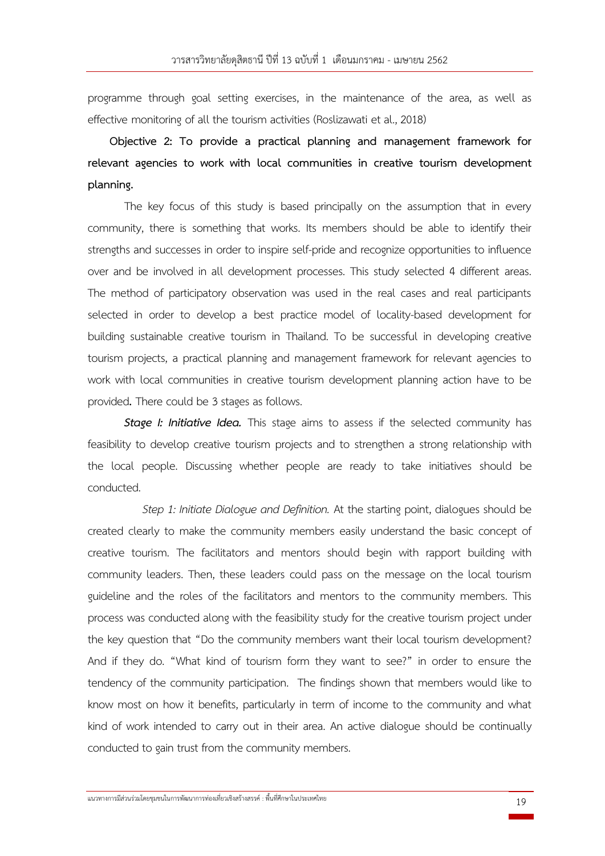programme through goal setting exercises, in the maintenance of the area, as well as effective monitoring of all the tourism activities (Roslizawati et al., 2018)

**Objective 2: To provide a practical planning and management framework for relevant agencies to work with local communities in creative tourism development planning.** 

The key focus of this study is based principally on the assumption that in every community, there is something that works. Its members should be able to identify their strengths and successes in order to inspire self-pride and recognize opportunities to influence over and be involved in all development processes. This study selected 4 different areas. The method of participatory observation was used in the real cases and real participants selected in order to develop a best practice model of locality-based development for building sustainable creative tourism in Thailand. To be successful in developing creative tourism projects, a practical planning and management framework for relevant agencies to work with local communities in creative tourism development planning action have to be provided**.** There could be 3 stages as follows.

**Stage I: Initiative Idea.** This stage aims to assess if the selected community has feasibility to develop creative tourism projects and to strengthen a strong relationship with the local people. Discussing whether people are ready to take initiatives should be conducted.

*Step 1: Initiate Dialogue and Definition.* At the starting point, dialogues should be created clearly to make the community members easily understand the basic concept of creative tourism. The facilitators and mentors should begin with rapport building with community leaders. Then, these leaders could pass on the message on the local tourism guideline and the roles of the facilitators and mentors to the community members. This process was conducted along with the feasibility study for the creative tourism project under the key question that "Do the community members want their local tourism development? And if they do. "What kind of tourism form they want to see?" in order to ensure the tendency of the community participation. The findings shown that members would like to know most on how it benefits, particularly in term of income to the community and what kind of work intended to carry out in their area. An active dialogue should be continually conducted to gain trust from the community members.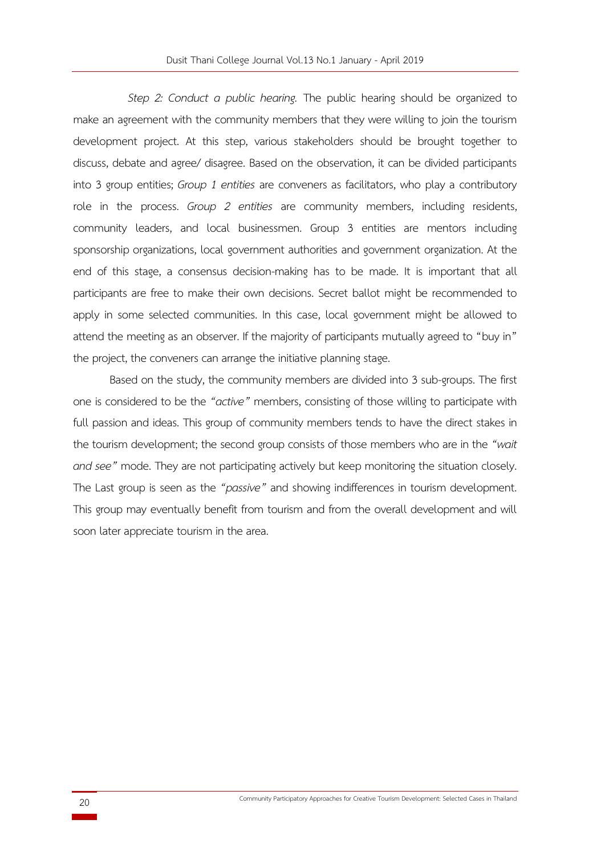*Step 2: Conduct a public hearing.* The public hearing should be organized to make an agreement with the community members that they were willing to join the tourism development project. At this step, various stakeholders should be brought together to discuss, debate and agree/ disagree. Based on the observation, it can be divided participants into 3 group entities; *Group 1 entities* are conveners as facilitators, who play a contributory role in the process. *Group 2 entities* are community members, including residents, community leaders, and local businessmen. Group 3 entities are mentors including sponsorship organizations, local government authorities and government organization. At the end of this stage, a consensus decision-making has to be made. It is important that all participants are free to make their own decisions. Secret ballot might be recommended to apply in some selected communities. In this case, local government might be allowed to attend the meeting as an observer. If the majority of participants mutually agreed to "buy in" the project, the conveners can arrange the initiative planning stage.

Based on the study, the community members are divided into 3 sub-groups. The first one is considered to be the *"active"* members, consisting of those willing to participate with full passion and ideas. This group of community members tends to have the direct stakes in the tourism development; the second group consists of those members who are in the *"wait and see"* mode. They are not participating actively but keep monitoring the situation closely. The Last group is seen as the *"passive"* and showing indifferences in tourism development. This group may eventually benefit from tourism and from the overall development and will soon later appreciate tourism in the area.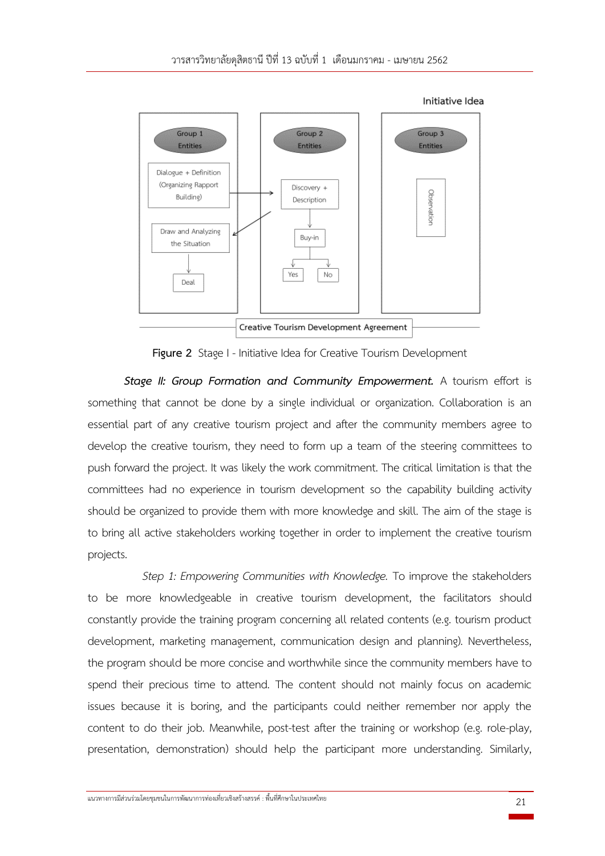

**Figure 2** Stage I - Initiative Idea for Creative Tourism Development

*Stage II: Group Formation and Community Empowerment.* A tourism effort is something that cannot be done by a single individual or organization. Collaboration is an essential part of any creative tourism project and after the community members agree to develop the creative tourism, they need to form up a team of the steering committees to push forward the project. It was likely the work commitment. The critical limitation is that the committees had no experience in tourism development so the capability building activity should be organized to provide them with more knowledge and skill. The aim of the stage is to bring all active stakeholders working together in order to implement the creative tourism projects.

*Step 1: Empowering Communities with Knowledge.* To improve the stakeholders to be more knowledgeable in creative tourism development, the facilitators should constantly provide the training program concerning all related contents (e.g. tourism product development, marketing management, communication design and planning). Nevertheless, the program should be more concise and worthwhile since the community members have to spend their precious time to attend. The content should not mainly focus on academic issues because it is boring, and the participants could neither remember nor apply the content to do their job. Meanwhile, post-test after the training or workshop (e.g. role-play, presentation, demonstration) should help the participant more understanding. Similarly,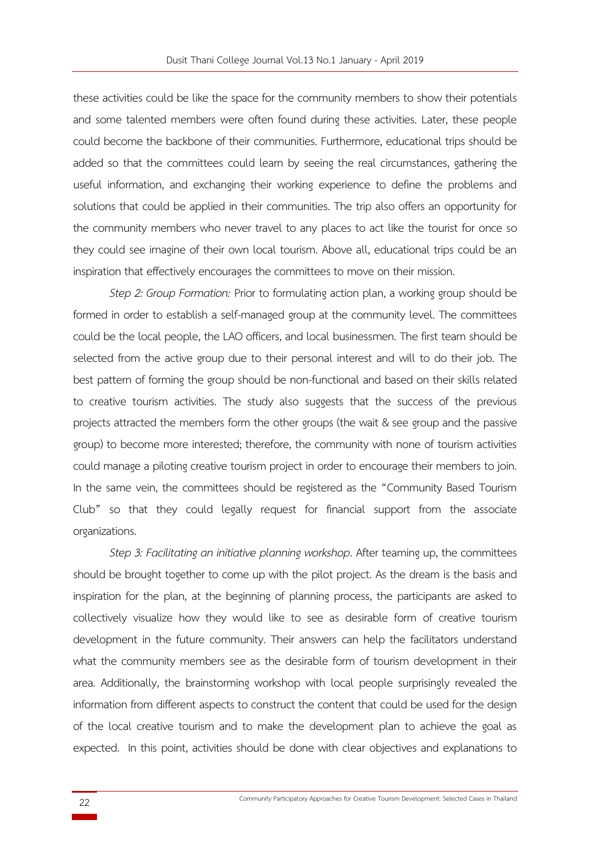these activities could be like the space for the community members to show their potentials and some talented members were often found during these activities. Later, these people could become the backbone of their communities. Furthermore, educational trips should be added so that the committees could learn by seeing the real circumstances, gathering the useful information, and exchanging their working experience to define the problems and solutions that could be applied in their communities. The trip also offers an opportunity for the community members who never travel to any places to act like the tourist for once so they could see imagine of their own local tourism. Above all, educational trips could be an inspiration that effectively encourages the committees to move on their mission.

*Step 2: Group Formation:* Prior to formulating action plan, a working group should be formed in order to establish a self-managed group at the community level. The committees could be the local people, the LAO officers, and local businessmen. The first team should be selected from the active group due to their personal interest and will to do their job. The best pattern of forming the group should be non-functional and based on their skills related to creative tourism activities. The study also suggests that the success of the previous projects attracted the members form the other groups (the wait & see group and the passive group) to become more interested; therefore, the community with none of tourism activities could manage a piloting creative tourism project in order to encourage their members to join. In the same vein, the committees should be registered as the "Community Based Tourism Club" so that they could legally request for financial support from the associate organizations.

*Step 3: Facilitating an initiative planning workshop*. After teaming up, the committees should be brought together to come up with the pilot project. As the dream is the basis and inspiration for the plan, at the beginning of planning process, the participants are asked to collectively visualize how they would like to see as desirable form of creative tourism development in the future community. Their answers can help the facilitators understand what the community members see as the desirable form of tourism development in their area. Additionally, the brainstorming workshop with local people surprisingly revealed the information from different aspects to construct the content that could be used for the design of the local creative tourism and to make the development plan to achieve the goal as expected. In this point, activities should be done with clear objectives and explanations to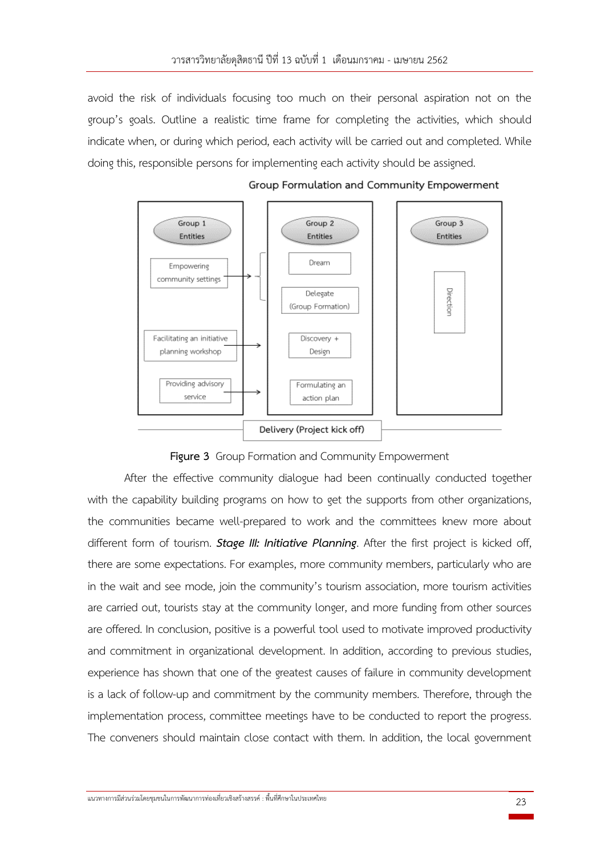avoid the risk of individuals focusing too much on their personal aspiration not on the group's goals. Outline a realistic time frame for completing the activities, which should indicate when, or during which period, each activity will be carried out and completed. While doing this, responsible persons for implementing each activity should be assigned.



Group Formulation and Community Empowerment



After the effective community dialogue had been continually conducted together with the capability building programs on how to get the supports from other organizations, the communities became well-prepared to work and the committees knew more about different form of tourism. *Stage III: Initiative Planning*. After the first project is kicked off, there are some expectations. For examples, more community members, particularly who are in the wait and see mode, join the community's tourism association, more tourism activities are carried out, tourists stay at the community longer, and more funding from other sources are offered. In conclusion, positive is a powerful tool used to motivate improved productivity and commitment in organizational development. In addition, according to previous studies, experience has shown that one of the greatest causes of failure in community development is a lack of follow-up and commitment by the community members. Therefore, through the implementation process, committee meetings have to be conducted to report the progress. The conveners should maintain close contact with them. In addition, the local government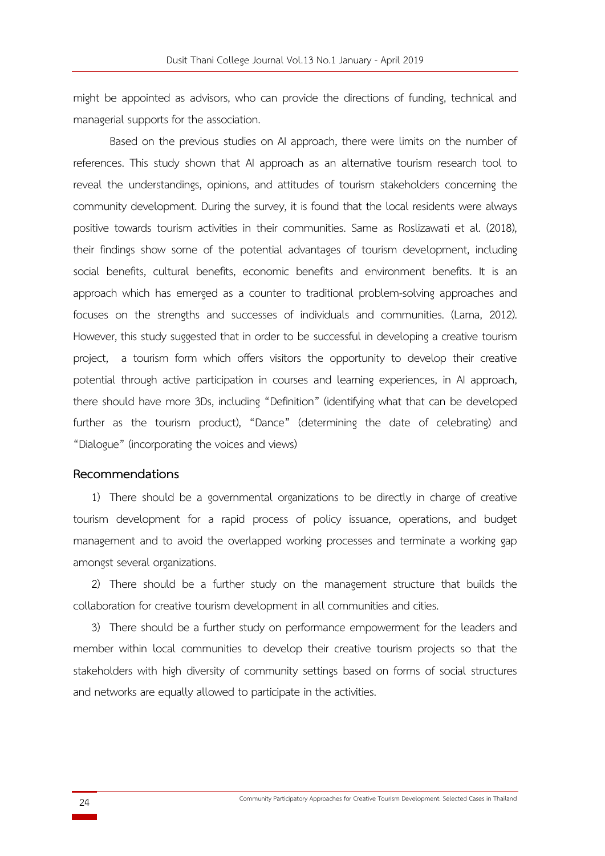might be appointed as advisors, who can provide the directions of funding, technical and managerial supports for the association.

Based on the previous studies on AI approach, there were limits on the number of references. This study shown that AI approach as an alternative tourism research tool to reveal the understandings, opinions, and attitudes of tourism stakeholders concerning the community development. During the survey, it is found that the local residents were always positive towards tourism activities in their communities. Same as Roslizawati et al. (2018), their findings show some of the potential advantages of tourism development, including social benefits, cultural benefits, economic benefits and environment benefits. It is an approach which has emerged as a counter to traditional problem-solving approaches and focuses on the strengths and successes of individuals and communities. (Lama, 2012). However, this study suggested that in order to be successful in developing a creative tourism project, a tourism form which offers visitors the opportunity to develop their creative potential through active participation in courses and learning experiences, in AI approach, there should have more 3Ds, including "Definition" (identifying what that can be developed further as the tourism product), "Dance" (determining the date of celebrating) and "Dialogue" (incorporating the voices and views)

# **Recommendations**

1) There should be a governmental organizations to be directly in charge of creative tourism development for a rapid process of policy issuance, operations, and budget management and to avoid the overlapped working processes and terminate a working gap amongst several organizations.

2) There should be a further study on the management structure that builds the collaboration for creative tourism development in all communities and cities.

3) There should be a further study on performance empowerment for the leaders and member within local communities to develop their creative tourism projects so that the stakeholders with high diversity of community settings based on forms of social structures and networks are equally allowed to participate in the activities.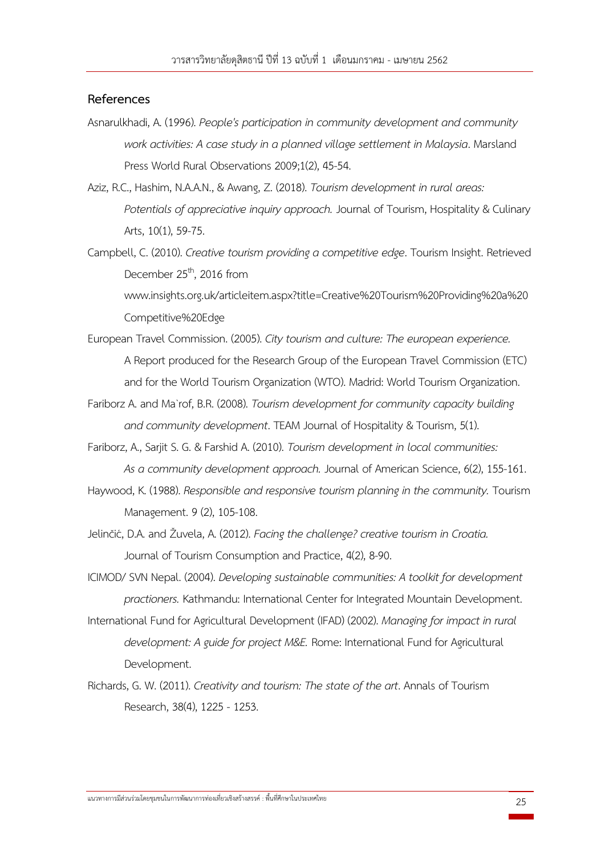# **References**

- Asnarulkhadi, A. (1996). *People's participation in community development and community work activities: A case study in a planned village settlement in Malaysia*. Marsland Press World Rural Observations 2009;1(2), 45-54.
- Aziz, R.C., Hashim, N.A.A.N., & Awang, Z. (2018). *Tourism development in rural areas: Potentials of appreciative inquiry approach.* Journal of Tourism, Hospitality & Culinary Arts, 10(1), 59-75.
- Campbell, C. (2010). *Creative tourism providing a competitive edge*. Tourism Insight. Retrieved December 25<sup>th</sup>, 2016 from www.insights.org.uk/articleitem.aspx?title=Creative%20Tourism%20Providing%20a%20 Competitive%20Edge
- European Travel Commission. (2005). *City tourism and culture: The european experience.* A Report produced for the Research Group of the European Travel Commission (ETC) and for the World Tourism Organization (WTO). Madrid: World Tourism Organization.
- Fariborz A. and Ma`rof, B.R. (2008). *Tourism development for community capacity building and community development*. TEAM Journal of Hospitality & Tourism, 5(1).
- Fariborz, A., Sarjit S. G. & Farshid A. (2010). *Tourism development in local communities: As a community development approach.* Journal of American Science, 6(2), 155-161.
- Haywood, K. (1988). *Responsible and responsive tourism planning in the community.* Tourism Management. 9 (2), 105-108.
- Jelinčić, D.A. and Žuvela, A. (2012). *Facing the challenge? creative tourism in Croatia.* Journal of Tourism Consumption and Practice, 4(2), 8-90.
- ICIMOD/ SVN Nepal. (2004). *Developing sustainable communities: A toolkit for development practioners.* Kathmandu: International Center for Integrated Mountain Development.
- International Fund for Agricultural Development (IFAD) (2002). *Managing for impact in rural development: A guide for project M&E.* Rome: International Fund for Agricultural Development.
- Richards, G. W. (2011). *Creativity and tourism: The state of the art*. Annals of Tourism Research, 38(4), 1225 - 1253.